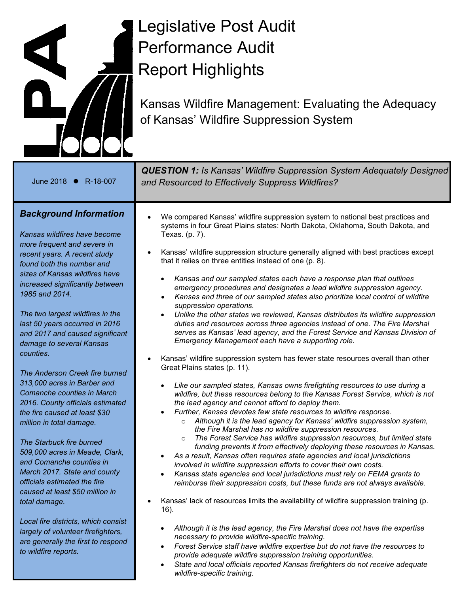

# Legislative Post Audit Performance Audit Report Highlights

Kansas Wildfire Management: Evaluating the Adequacy of Kansas' Wildfire Suppression System

| June 2018 ● R-18-007                                                                                                                                                                                                                                                                                                                                                                                                                                                                                                                                                                                                                                                                                                                                                                                             | <b>QUESTION 1:</b> Is Kansas' Wildfire Suppression System Adequately Designed<br>and Resourced to Effectively Suppress Wildfires?                                                                                                                                                                                                                                                                                                                                                                                                                                                                                                                                                                                                                                                                                                                                                                                                                                                                                                                                                                                                                                                                                                                                                                                                                                                                                                                                                                                                                                                                                                                                                                                                                                                                                                                                                                                                                                                                                                                                                                                               |
|------------------------------------------------------------------------------------------------------------------------------------------------------------------------------------------------------------------------------------------------------------------------------------------------------------------------------------------------------------------------------------------------------------------------------------------------------------------------------------------------------------------------------------------------------------------------------------------------------------------------------------------------------------------------------------------------------------------------------------------------------------------------------------------------------------------|---------------------------------------------------------------------------------------------------------------------------------------------------------------------------------------------------------------------------------------------------------------------------------------------------------------------------------------------------------------------------------------------------------------------------------------------------------------------------------------------------------------------------------------------------------------------------------------------------------------------------------------------------------------------------------------------------------------------------------------------------------------------------------------------------------------------------------------------------------------------------------------------------------------------------------------------------------------------------------------------------------------------------------------------------------------------------------------------------------------------------------------------------------------------------------------------------------------------------------------------------------------------------------------------------------------------------------------------------------------------------------------------------------------------------------------------------------------------------------------------------------------------------------------------------------------------------------------------------------------------------------------------------------------------------------------------------------------------------------------------------------------------------------------------------------------------------------------------------------------------------------------------------------------------------------------------------------------------------------------------------------------------------------------------------------------------------------------------------------------------------------|
| <b>Background Information</b><br>Kansas wildfires have become<br>more frequent and severe in<br>recent years. A recent study<br>found both the number and<br>sizes of Kansas wildfires have<br>increased significantly between<br>1985 and 2014.<br>The two largest wildfires in the<br>last 50 years occurred in 2016<br>and 2017 and caused significant<br>damage to several Kansas<br>counties.<br>The Anderson Creek fire burned<br>313,000 acres in Barber and<br>Comanche counties in March<br>2016. County officials estimated<br>the fire caused at least \$30<br>million in total damage.<br>The Starbuck fire burned<br>509,000 acres in Meade, Clark,<br>and Comanche counties in<br>March 2017. State and county<br>officials estimated the fire<br>caused at least \$50 million in<br>total damage. | We compared Kansas' wildfire suppression system to national best practices and<br>systems in four Great Plains states: North Dakota, Oklahoma, South Dakota, and<br>Texas. (p. 7).<br>Kansas' wildfire suppression structure generally aligned with best practices except<br>that it relies on three entities instead of one (p. 8).<br>Kansas and our sampled states each have a response plan that outlines<br>$\bullet$<br>emergency procedures and designates a lead wildfire suppression agency.<br>Kansas and three of our sampled states also prioritize local control of wildfire<br>$\bullet$<br>suppression operations.<br>Unlike the other states we reviewed, Kansas distributes its wildfire suppression<br>$\bullet$<br>duties and resources across three agencies instead of one. The Fire Marshal<br>serves as Kansas' lead agency, and the Forest Service and Kansas Division of<br>Emergency Management each have a supporting role.<br>Kansas' wildfire suppression system has fewer state resources overall than other<br>Great Plains states (p. 11).<br>Like our sampled states, Kansas owns firefighting resources to use during a<br>wildfire, but these resources belong to the Kansas Forest Service, which is not<br>the lead agency and cannot afford to deploy them.<br>Further, Kansas devotes few state resources to wildfire response.<br>Although it is the lead agency for Kansas' wildfire suppression system,<br>$\circ$<br>the Fire Marshal has no wildfire suppression resources.<br>The Forest Service has wildfire suppression resources, but limited state<br>funding prevents it from effectively deploying these resources in Kansas.<br>As a result, Kansas often requires state agencies and local jurisdictions<br>$\bullet$<br>involved in wildfire suppression efforts to cover their own costs.<br>Kansas state agencies and local jurisdictions must rely on FEMA grants to<br>$\bullet$<br>reimburse their suppression costs, but these funds are not always available.<br>Kansas' lack of resources limits the availability of wildfire suppression training (p.<br>$16$ ). |
| Local fire districts, which consist<br>largely of volunteer firefighters,<br>are generally the first to respond<br>to wildfire reports.                                                                                                                                                                                                                                                                                                                                                                                                                                                                                                                                                                                                                                                                          | Although it is the lead agency, the Fire Marshal does not have the expertise<br>$\bullet$<br>necessary to provide wildfire-specific training.<br>Forest Service staff have wildfire expertise but do not have the resources to<br>$\bullet$<br>provide adequate wildfire suppression training opportunities.<br>State and local officials reported Kansas firefighters do not receive adequate<br>$\bullet$<br>wildfire-specific training.                                                                                                                                                                                                                                                                                                                                                                                                                                                                                                                                                                                                                                                                                                                                                                                                                                                                                                                                                                                                                                                                                                                                                                                                                                                                                                                                                                                                                                                                                                                                                                                                                                                                                      |